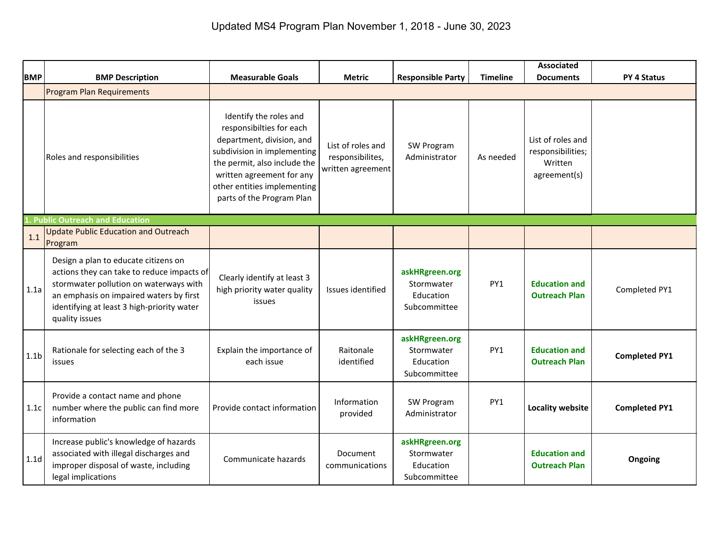|                  |                                                                                                                                                                                                                                         |                                                                                                                                                                                                                                         |                                                            |                                                           |                 | <b>Associated</b>                                                 |                      |
|------------------|-----------------------------------------------------------------------------------------------------------------------------------------------------------------------------------------------------------------------------------------|-----------------------------------------------------------------------------------------------------------------------------------------------------------------------------------------------------------------------------------------|------------------------------------------------------------|-----------------------------------------------------------|-----------------|-------------------------------------------------------------------|----------------------|
| <b>BMP</b>       | <b>BMP Description</b>                                                                                                                                                                                                                  | <b>Measurable Goals</b>                                                                                                                                                                                                                 | <b>Metric</b>                                              | <b>Responsible Party</b>                                  | <b>Timeline</b> | <b>Documents</b>                                                  | <b>PY 4 Status</b>   |
|                  | <b>Program Plan Requirements</b>                                                                                                                                                                                                        |                                                                                                                                                                                                                                         |                                                            |                                                           |                 |                                                                   |                      |
|                  | Roles and responsibilities                                                                                                                                                                                                              | Identify the roles and<br>responsibilties for each<br>department, division, and<br>subdivision in implementing<br>the permit, also include the<br>written agreement for any<br>other entities implementing<br>parts of the Program Plan | List of roles and<br>responsibilites,<br>written agreement | SW Program<br>Administrator                               | As needed       | List of roles and<br>responsibilities;<br>Written<br>agreement(s) |                      |
| $\mathbf{1}$     | <b>Public Outreach and Education</b>                                                                                                                                                                                                    |                                                                                                                                                                                                                                         |                                                            |                                                           |                 |                                                                   |                      |
| 1.1              | <b>Update Public Education and Outreach</b><br>Program                                                                                                                                                                                  |                                                                                                                                                                                                                                         |                                                            |                                                           |                 |                                                                   |                      |
| 1.1a             | Design a plan to educate citizens on<br>actions they can take to reduce impacts of<br>stormwater pollution on waterways with<br>an emphasis on impaired waters by first<br>identifying at least 3 high-priority water<br>quality issues | Clearly identify at least 3<br>high priority water quality<br>issues                                                                                                                                                                    | Issues identified                                          | askHRgreen.org<br>Stormwater<br>Education<br>Subcommittee | PY1             | <b>Education and</b><br><b>Outreach Plan</b>                      | Completed PY1        |
| 1.1 <sub>b</sub> | Rationale for selecting each of the 3<br>issues                                                                                                                                                                                         | Explain the importance of<br>each issue                                                                                                                                                                                                 | Raitonale<br>identified                                    | askHRgreen.org<br>Stormwater<br>Education<br>Subcommittee | PY1             | <b>Education and</b><br><b>Outreach Plan</b>                      | <b>Completed PY1</b> |
| 1.1c             | Provide a contact name and phone<br>number where the public can find more<br>information                                                                                                                                                | Provide contact information                                                                                                                                                                                                             | Information<br>provided                                    | SW Program<br>Administrator                               | PY1             | <b>Locality website</b>                                           | <b>Completed PY1</b> |
| 1.1 <sub>d</sub> | Increase public's knowledge of hazards<br>associated with illegal discharges and<br>improper disposal of waste, including<br>legal implications                                                                                         | Communicate hazards                                                                                                                                                                                                                     | Document<br>communications                                 | askHRgreen.org<br>Stormwater<br>Education<br>Subcommittee |                 | <b>Education and</b><br><b>Outreach Plan</b>                      | <b>Ongoing</b>       |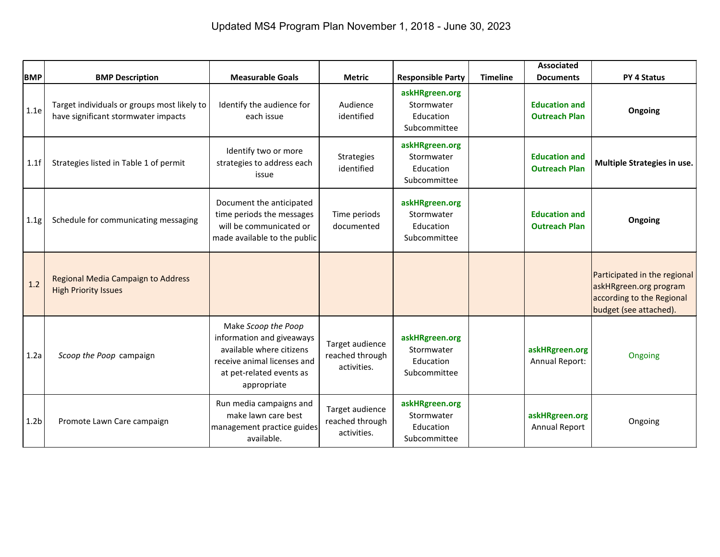| <b>BMP</b>       | <b>BMP Description</b>                                                             | <b>Measurable Goals</b>                                                                                                                                | <b>Metric</b>                                     | <b>Responsible Party</b>                                  | <b>Timeline</b> | <b>Associated</b><br><b>Documents</b>        | <b>PY 4 Status</b>                                                                                            |
|------------------|------------------------------------------------------------------------------------|--------------------------------------------------------------------------------------------------------------------------------------------------------|---------------------------------------------------|-----------------------------------------------------------|-----------------|----------------------------------------------|---------------------------------------------------------------------------------------------------------------|
| 1.1e             | Target individuals or groups most likely to<br>have significant stormwater impacts | Identify the audience for<br>each issue                                                                                                                | Audience<br>identified                            | askHRgreen.org<br>Stormwater<br>Education<br>Subcommittee |                 | <b>Education and</b><br><b>Outreach Plan</b> | Ongoing                                                                                                       |
| 1.1f             | Strategies listed in Table 1 of permit                                             | Identify two or more<br>strategies to address each<br>issue                                                                                            | Strategies<br>identified                          | askHRgreen.org<br>Stormwater<br>Education<br>Subcommittee |                 | <b>Education and</b><br><b>Outreach Plan</b> | Multiple Strategies in use.                                                                                   |
| 1.1g             | Schedule for communicating messaging                                               | Document the anticipated<br>time periods the messages<br>will be communicated or<br>made available to the public                                       | Time periods<br>documented                        | askHRgreen.org<br>Stormwater<br>Education<br>Subcommittee |                 | <b>Education and</b><br><b>Outreach Plan</b> | Ongoing                                                                                                       |
| 1.2              | Regional Media Campaign to Address<br><b>High Priority Issues</b>                  |                                                                                                                                                        |                                                   |                                                           |                 |                                              | Participated in the regional<br>askHRgreen.org program<br>according to the Regional<br>budget (see attached). |
| 1.2a             | Scoop the Poop campaign                                                            | Make Scoop the Poop<br>information and giveaways<br>available where citizens<br>receive animal licenses and<br>at pet-related events as<br>appropriate | Target audience<br>reached through<br>activities. | askHRgreen.org<br>Stormwater<br>Education<br>Subcommittee |                 | askHRgreen.org<br>Annual Report:             | Ongoing                                                                                                       |
| 1.2 <sub>b</sub> | Promote Lawn Care campaign                                                         | Run media campaigns and<br>make lawn care best<br>management practice guides<br>available.                                                             | Target audience<br>reached through<br>activities. | askHRgreen.org<br>Stormwater<br>Education<br>Subcommittee |                 | askHRgreen.org<br><b>Annual Report</b>       | Ongoing                                                                                                       |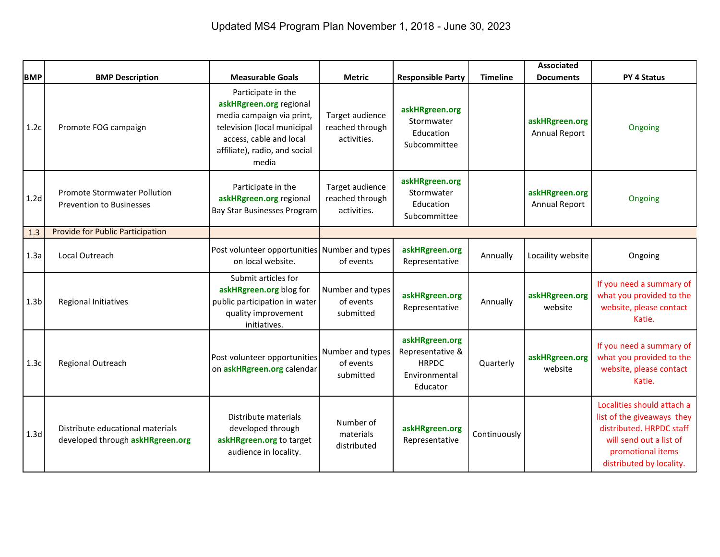|                  |                                                                        |                                                                                                                                                                                |                                                   |                                                                                 |                 | <b>Associated</b>               |                                                                                                                                                                  |
|------------------|------------------------------------------------------------------------|--------------------------------------------------------------------------------------------------------------------------------------------------------------------------------|---------------------------------------------------|---------------------------------------------------------------------------------|-----------------|---------------------------------|------------------------------------------------------------------------------------------------------------------------------------------------------------------|
| <b>BMP</b>       | <b>BMP Description</b>                                                 | <b>Measurable Goals</b>                                                                                                                                                        | <b>Metric</b>                                     | <b>Responsible Party</b>                                                        | <b>Timeline</b> | <b>Documents</b>                | <b>PY 4 Status</b>                                                                                                                                               |
| 1.2c             | Promote FOG campaign                                                   | Participate in the<br>askHRgreen.org regional<br>media campaign via print,<br>television (local municipal<br>access, cable and local<br>affiliate), radio, and social<br>media | Target audience<br>reached through<br>activities. | askHRgreen.org<br>Stormwater<br>Education<br>Subcommittee                       |                 | askHRgreen.org<br>Annual Report | Ongoing                                                                                                                                                          |
| 1.2 <sub>d</sub> | <b>Promote Stormwater Pollution</b><br><b>Prevention to Businesses</b> | Participate in the<br>askHRgreen.org regional<br>Bay Star Businesses Program                                                                                                   | Target audience<br>reached through<br>activities. | askHRgreen.org<br>Stormwater<br>Education<br>Subcommittee                       |                 | askHRgreen.org<br>Annual Report | Ongoing                                                                                                                                                          |
| 1.3              | <b>Provide for Public Participation</b>                                |                                                                                                                                                                                |                                                   |                                                                                 |                 |                                 |                                                                                                                                                                  |
| 1.3a             | Local Outreach                                                         | Post volunteer opportunities Number and types<br>on local website.                                                                                                             | of events                                         | askHRgreen.org<br>Representative                                                | Annually        | Locaility website               | Ongoing                                                                                                                                                          |
| 1.3 <sub>b</sub> | <b>Regional Initiatives</b>                                            | Submit articles for<br>askHRgreen.org blog for<br>public participation in water<br>quality improvement<br>initiatives.                                                         | Number and types<br>of events<br>submitted        | askHRgreen.org<br>Representative                                                | Annually        | askHRgreen.org<br>website       | If you need a summary of<br>what you provided to the<br>website, please contact<br>Katie.                                                                        |
| 1.3c             | Regional Outreach                                                      | Post volunteer opportunities<br>on askHRgreen.org calendar                                                                                                                     | Number and types<br>of events<br>submitted        | askHRgreen.org<br>Representative &<br><b>HRPDC</b><br>Environmental<br>Educator | Quarterly       | askHRgreen.org<br>website       | If you need a summary of<br>what you provided to the<br>website, please contact<br>Katie.                                                                        |
| 1.3 <sub>d</sub> | Distribute educational materials<br>developed through askHRgreen.org   | Distribute materials<br>developed through<br>askHRgreen.org to target<br>audience in locality.                                                                                 | Number of<br>materials<br>distributed             | askHRgreen.org<br>Representative                                                | Continuously    |                                 | Localities should attach a<br>list of the giveaways they<br>distributed. HRPDC staff<br>will send out a list of<br>promotional items<br>distributed by locality. |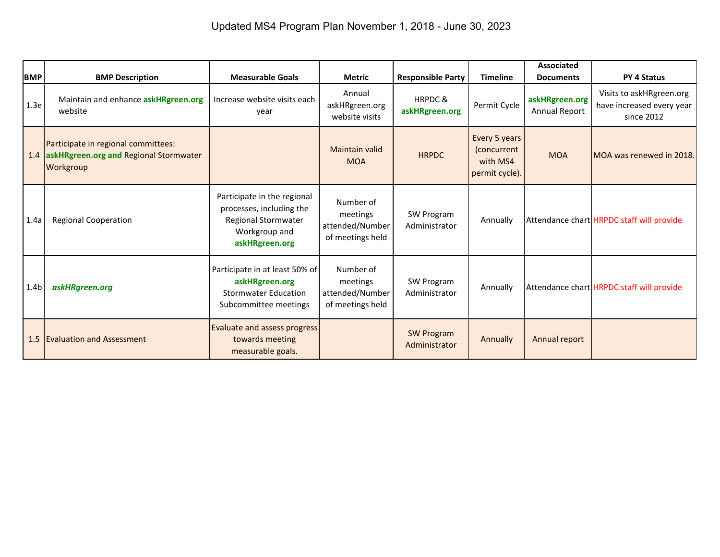| <b>BMP</b>       | <b>BMP Description</b>                                                                         | <b>Measurable Goals</b>                                                                                           | <b>Metric</b>                                                | <b>Responsible Party</b>             | <b>Timeline</b>                                            | <b>Associated</b><br><b>Documents</b> | <b>PY 4 Status</b>                                                  |
|------------------|------------------------------------------------------------------------------------------------|-------------------------------------------------------------------------------------------------------------------|--------------------------------------------------------------|--------------------------------------|------------------------------------------------------------|---------------------------------------|---------------------------------------------------------------------|
| 1.3e             | Maintain and enhance askHRgreen.org<br>website                                                 | Increase website visits each<br>year                                                                              | Annual<br>askHRgreen.org<br>website visits                   | <b>HRPDC &amp;</b><br>askHRgreen.org | Permit Cycle                                               | askHRgreen.org<br>Annual Report       | Visits to askHRgreen.org<br>have increased every year<br>since 2012 |
|                  | Participate in regional committees:<br>1.4 askHRgreen.org and Regional Stormwater<br>Workgroup |                                                                                                                   | Maintain valid<br><b>MOA</b>                                 | <b>HRPDC</b>                         | Every 5 years<br>(concurrent<br>with MS4<br>permit cycle). | <b>MOA</b>                            | MOA was renewed in 2018.                                            |
| 1.4a             | <b>Regional Cooperation</b>                                                                    | Participate in the regional<br>processes, including the<br>Regional Stormwater<br>Workgroup and<br>askHRgreen.org | Number of<br>meetings<br>attended/Number<br>of meetings held | SW Program<br>Administrator          | Annually                                                   |                                       | Attendance chart HRPDC staff will provide                           |
| 1.4 <sub>b</sub> | askHRgreen.org                                                                                 | Participate in at least 50% of<br>askHRgreen.org<br><b>Stormwater Education</b><br>Subcommittee meetings          | Number of<br>meetings<br>attended/Number<br>of meetings held | SW Program<br>Administrator          | Annually                                                   |                                       | Attendance chart HRPDC staff will provide                           |
|                  | 1.5 Evaluation and Assessment                                                                  | <b>Evaluate and assess progress</b><br>towards meeting<br>measurable goals.                                       |                                                              | <b>SW Program</b><br>Administrator   | Annually                                                   | Annual report                         |                                                                     |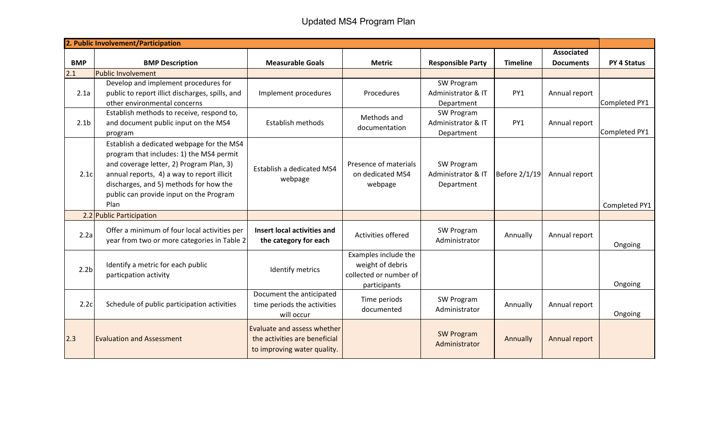## Updated MS4 Program Plan

|                  | 2. Public Involvement/Participation             |                               |                        |                          |                 |                           |               |
|------------------|-------------------------------------------------|-------------------------------|------------------------|--------------------------|-----------------|---------------------------|---------------|
|                  |                                                 |                               |                        |                          |                 | <b>Associated</b>         |               |
| <b>BMP</b>       | <b>BMP Description</b>                          | <b>Measurable Goals</b>       | <b>Metric</b>          | <b>Responsible Party</b> | <b>Timeline</b> | <b>Documents</b>          | PY 4 Status   |
| 2.1              | Public Involvement                              |                               |                        |                          |                 |                           |               |
|                  | Develop and implement procedures for            |                               |                        | SW Program               |                 |                           |               |
| 2.1a             | public to report illict discharges, spills, and | Implement procedures          | Procedures             | Administrator & IT       | PY1             | Annual report             |               |
|                  | other environmental concerns                    |                               |                        | Department               |                 |                           | Completed PY1 |
|                  | Establish methods to receive, respond to,       |                               | Methods and            | SW Program               |                 |                           |               |
| 2.1 <sub>b</sub> | and document public input on the MS4            | Establish methods             | documentation          | Administrator & IT       | PY1             | Annual report             |               |
|                  | program                                         |                               |                        | Department               |                 |                           | Completed PY1 |
|                  | Establish a dedicated webpage for the MS4       |                               |                        |                          |                 |                           |               |
|                  | program that includes: 1) the MS4 permit        |                               |                        |                          |                 |                           |               |
|                  | and coverage letter, 2) Program Plan, 3)        |                               | Presence of materials  | SW Program               |                 |                           |               |
| 2.1c             | annual reports, 4) a way to report illicit      | Establish a dedicated MS4     | on dedicated MS4       | Administrator & IT       | Before 2/1/19   | Annual report             |               |
|                  | discharges, and 5) methods for how the          | webpage                       | webpage                | Department               |                 |                           |               |
|                  | public can provide input on the Program         |                               |                        |                          |                 |                           |               |
|                  | Plan                                            |                               |                        |                          |                 |                           | Completed PY1 |
|                  | 2.2 Public Participation                        |                               |                        |                          |                 |                           |               |
|                  |                                                 |                               |                        |                          |                 |                           |               |
| 2.2a             | Offer a minimum of four local activities per    | Insert local activities and   | Activities offered     | SW Program               | Annually        | Annual report             |               |
|                  | year from two or more categories in Table 2     | the category for each         |                        | Administrator            |                 |                           | Ongoing       |
|                  |                                                 |                               | Examples include the   |                          |                 |                           |               |
|                  | Identify a metric for each public               |                               | weight of debris       |                          |                 |                           |               |
| 2.2 <sub>b</sub> | particpation activity                           | Identify metrics              | collected or number of |                          |                 |                           |               |
|                  |                                                 |                               | participants           |                          |                 |                           | Ongoing       |
|                  |                                                 | Document the anticipated      |                        |                          |                 |                           |               |
| 2.2c             | Schedule of public participation activities     | time periods the activities   | Time periods           | SW Program               | Annually        | Annual report             |               |
|                  |                                                 | will occur                    | documented             | Administrator            |                 |                           | Ongoing       |
|                  |                                                 |                               |                        |                          |                 |                           |               |
|                  |                                                 | Evaluate and assess whether   |                        | <b>SW Program</b>        |                 |                           |               |
| 2.3              | <b>Evaluation and Assessment</b>                | the activities are beneficial |                        | Administrator            |                 | Annual report<br>Annually |               |
|                  |                                                 | to improving water quality.   |                        |                          |                 |                           |               |
|                  |                                                 |                               |                        |                          |                 |                           |               |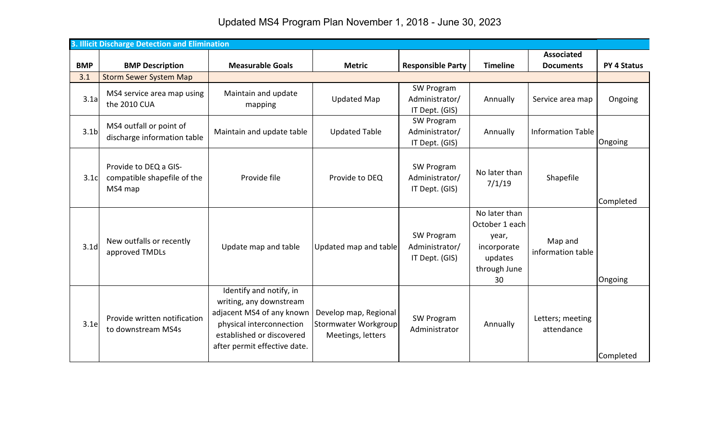| Updated MS4 Program Plan November 1, 2018 - June 30, 2023 |  |  |  |
|-----------------------------------------------------------|--|--|--|
|-----------------------------------------------------------|--|--|--|

|                  | 3. Illicit Discharge Detection and Elimination                  |                                                                                                                                                                          |                                                                    |                                                |                                                                                          |                                |                    |
|------------------|-----------------------------------------------------------------|--------------------------------------------------------------------------------------------------------------------------------------------------------------------------|--------------------------------------------------------------------|------------------------------------------------|------------------------------------------------------------------------------------------|--------------------------------|--------------------|
|                  |                                                                 |                                                                                                                                                                          |                                                                    |                                                |                                                                                          | <b>Associated</b>              |                    |
| <b>BMP</b>       | <b>BMP Description</b>                                          | <b>Measurable Goals</b>                                                                                                                                                  | <b>Metric</b>                                                      | <b>Responsible Party</b>                       | <b>Timeline</b>                                                                          | <b>Documents</b>               | <b>PY 4 Status</b> |
| 3.1              | <b>Storm Sewer System Map</b>                                   |                                                                                                                                                                          |                                                                    |                                                |                                                                                          |                                |                    |
| 3.1a             | MS4 service area map using<br>the 2010 CUA                      | Maintain and update<br>mapping                                                                                                                                           | <b>Updated Map</b>                                                 | SW Program<br>Administrator/<br>IT Dept. (GIS) | Annually                                                                                 | Service area map               | Ongoing            |
| 3.1 <sub>b</sub> | MS4 outfall or point of<br>discharge information table          | Maintain and update table                                                                                                                                                | <b>Updated Table</b>                                               | SW Program<br>Administrator/<br>IT Dept. (GIS) | Annually                                                                                 | <b>Information Table</b>       | Ongoing            |
| 3.1c             | Provide to DEQ a GIS-<br>compatible shapefile of the<br>MS4 map | Provide file                                                                                                                                                             | Provide to DEQ                                                     | SW Program<br>Administrator/<br>IT Dept. (GIS) | No later than<br>7/1/19                                                                  | Shapefile                      | Completed          |
| 3.1 <sub>d</sub> | New outfalls or recently<br>approved TMDLs                      | Update map and table                                                                                                                                                     | Updated map and table                                              | SW Program<br>Administrator/<br>IT Dept. (GIS) | No later than<br>October 1 each<br>year,<br>incorporate<br>updates<br>through June<br>30 | Map and<br>information table   | Ongoing            |
| 3.1e             | Provide written notification<br>to downstream MS4s              | Identify and notify, in<br>writing, any downstream<br>adjacent MS4 of any known<br>physical interconnection<br>established or discovered<br>after permit effective date. | Develop map, Regional<br>Stormwater Workgroup<br>Meetings, letters | SW Program<br>Administrator                    | Annually                                                                                 | Letters; meeting<br>attendance | Completed          |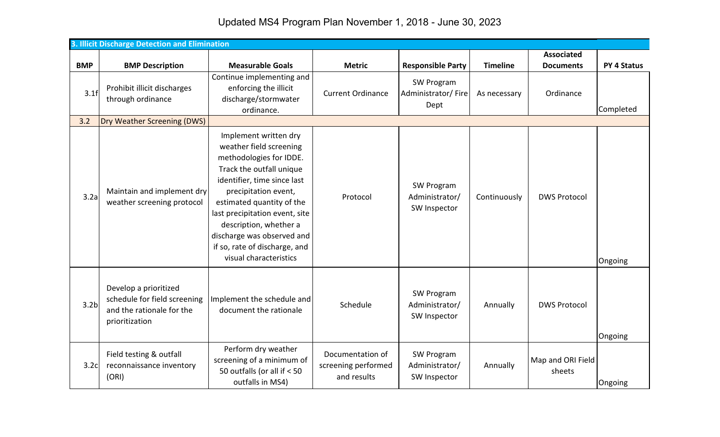Updated MS4 Program Plan November 1, 2018 - June 30, 2023

|                  | 3. Illicit Discharge Detection and Elimination                                                       |                                                                                                                                                                                                                                                                                                                                                  |                                                        |                                              |                 |                             |                    |
|------------------|------------------------------------------------------------------------------------------------------|--------------------------------------------------------------------------------------------------------------------------------------------------------------------------------------------------------------------------------------------------------------------------------------------------------------------------------------------------|--------------------------------------------------------|----------------------------------------------|-----------------|-----------------------------|--------------------|
|                  |                                                                                                      |                                                                                                                                                                                                                                                                                                                                                  |                                                        |                                              |                 | <b>Associated</b>           |                    |
| <b>BMP</b>       | <b>BMP Description</b>                                                                               | <b>Measurable Goals</b>                                                                                                                                                                                                                                                                                                                          | <b>Metric</b>                                          | <b>Responsible Party</b>                     | <b>Timeline</b> | <b>Documents</b>            | <b>PY 4 Status</b> |
| 3.1f             | Prohibit illicit discharges<br>through ordinance                                                     | Continue implementing and<br>enforcing the illicit<br>discharge/stormwater<br>ordinance.                                                                                                                                                                                                                                                         | <b>Current Ordinance</b>                               | SW Program<br>Administrator/Fire<br>Dept     | As necessary    | Ordinance                   | Completed          |
| 3.2              | Dry Weather Screening (DWS)                                                                          |                                                                                                                                                                                                                                                                                                                                                  |                                                        |                                              |                 |                             |                    |
| 3.2a             | Maintain and implement dry<br>weather screening protocol                                             | Implement written dry<br>weather field screening<br>methodologies for IDDE.<br>Track the outfall unique<br>identifier, time since last<br>precipitation event,<br>estimated quantity of the<br>last precipitation event, site<br>description, whether a<br>discharge was observed and<br>if so, rate of discharge, and<br>visual characteristics | Protocol                                               | SW Program<br>Administrator/<br>SW Inspector | Continuously    | <b>DWS Protocol</b>         | Ongoing            |
| 3.2 <sub>b</sub> | Develop a prioritized<br>schedule for field screening<br>and the rationale for the<br>prioritization | Implement the schedule and<br>document the rationale                                                                                                                                                                                                                                                                                             | Schedule                                               | SW Program<br>Administrator/<br>SW Inspector | Annually        | <b>DWS Protocol</b>         | Ongoing            |
| 3.2c             | Field testing & outfall<br>reconnaissance inventory<br>(ORI)                                         | Perform dry weather<br>screening of a minimum of<br>50 outfalls (or all if $<$ 50<br>outfalls in MS4)                                                                                                                                                                                                                                            | Documentation of<br>screening performed<br>and results | SW Program<br>Administrator/<br>SW Inspector | Annually        | Map and ORI Field<br>sheets | Ongoing            |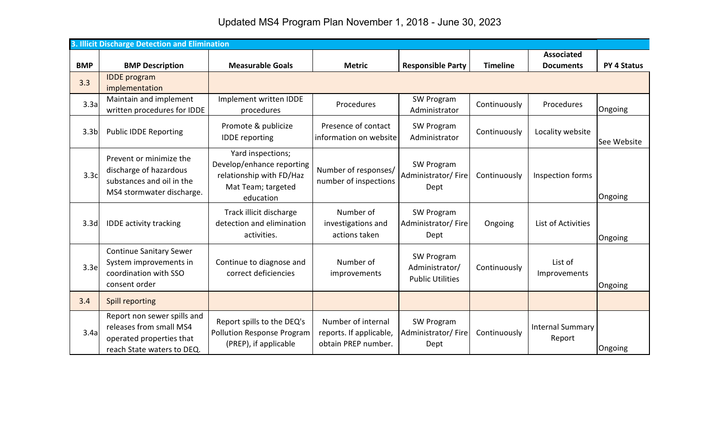Updated MS4 Program Plan November 1, 2018 - June 30, 2023

|                  | 3. Illicit Discharge Detection and Elimination                                                                   |                                                                                                               |                                                                      |                                                         |                 |                                   |                    |
|------------------|------------------------------------------------------------------------------------------------------------------|---------------------------------------------------------------------------------------------------------------|----------------------------------------------------------------------|---------------------------------------------------------|-----------------|-----------------------------------|--------------------|
|                  |                                                                                                                  |                                                                                                               |                                                                      |                                                         |                 | <b>Associated</b>                 |                    |
| <b>BMP</b>       | <b>BMP Description</b>                                                                                           | <b>Measurable Goals</b>                                                                                       | <b>Metric</b>                                                        | <b>Responsible Party</b>                                | <b>Timeline</b> | <b>Documents</b>                  | <b>PY 4 Status</b> |
| 3.3              | <b>IDDE</b> program<br>implementation                                                                            |                                                                                                               |                                                                      |                                                         |                 |                                   |                    |
| 3.3a             | Maintain and implement<br>written procedures for IDDE                                                            | Implement written IDDE<br>procedures                                                                          | Procedures                                                           | SW Program<br>Administrator                             | Continuously    | Procedures                        | Ongoing            |
| 3.3 <sub>b</sub> | <b>Public IDDE Reporting</b>                                                                                     | Promote & publicize<br><b>IDDE</b> reporting                                                                  | Presence of contact<br>information on website                        | SW Program<br>Administrator                             | Continuously    | Locality website                  | See Website        |
| 3.3c             | Prevent or minimize the<br>discharge of hazardous<br>substances and oil in the<br>MS4 stormwater discharge.      | Yard inspections;<br>Develop/enhance reporting<br>relationship with FD/Haz<br>Mat Team; targeted<br>education | Number of responses/<br>number of inspections                        | SW Program<br>Administrator/Fire<br>Dept                | Continuously    | Inspection forms                  | Ongoing            |
| 3.3 <sub>d</sub> | <b>IDDE activity tracking</b>                                                                                    | Track illicit discharge<br>detection and elimination<br>activities.                                           | Number of<br>investigations and<br>actions taken                     | SW Program<br>Administrator/Fire<br>Dept                | Ongoing         | List of Activities                | Ongoing            |
| 3.3e             | <b>Continue Sanitary Sewer</b><br>System improvements in<br>coordination with SSO<br>consent order               | Continue to diagnose and<br>correct deficiencies                                                              | Number of<br>improvements                                            | SW Program<br>Administrator/<br><b>Public Utilities</b> | Continuously    | List of<br>Improvements           | Ongoing            |
| 3.4              | <b>Spill reporting</b>                                                                                           |                                                                                                               |                                                                      |                                                         |                 |                                   |                    |
| 3.4a             | Report non sewer spills and<br>releases from small MS4<br>operated properties that<br>reach State waters to DEQ. | Report spills to the DEQ's<br><b>Pollution Response Program</b><br>(PREP), if applicable                      | Number of internal<br>reports. If applicable,<br>obtain PREP number. | SW Program<br>Administrator/Fire<br>Dept                | Continuously    | <b>Internal Summary</b><br>Report | Ongoing            |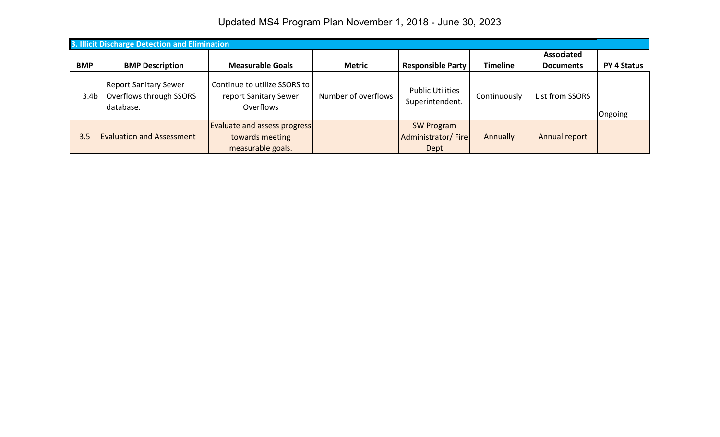Updated MS4 Program Plan November 1, 2018 - June 30, 2023

|                  | 3. Illicit Discharge Detection and Elimination                       |                                                                             |                     |                                                 |                 |                   |                    |  |  |  |
|------------------|----------------------------------------------------------------------|-----------------------------------------------------------------------------|---------------------|-------------------------------------------------|-----------------|-------------------|--------------------|--|--|--|
|                  |                                                                      |                                                                             |                     |                                                 |                 | <b>Associated</b> |                    |  |  |  |
| <b>BMP</b>       | <b>BMP Description</b>                                               | <b>Measurable Goals</b>                                                     | <b>Metric</b>       | <b>Responsible Party</b>                        | <b>Timeline</b> | <b>Documents</b>  | <b>PY 4 Status</b> |  |  |  |
| 3.4 <sub>b</sub> | <b>Report Sanitary Sewer</b><br>Overflows through SSORS<br>database. | Continue to utilize SSORS to<br>report Sanitary Sewer<br>Overflows          | Number of overflows | <b>Public Utilities</b><br>Superintendent.      | Continuously    | List from SSORS   | Ongoing            |  |  |  |
| 3.5              | <b>Evaluation and Assessment</b>                                     | <b>Evaluate and assess progress</b><br>towards meeting<br>measurable goals. |                     | <b>SW Program</b><br>Administrator/Fire<br>Dept | Annually        | Annual report     |                    |  |  |  |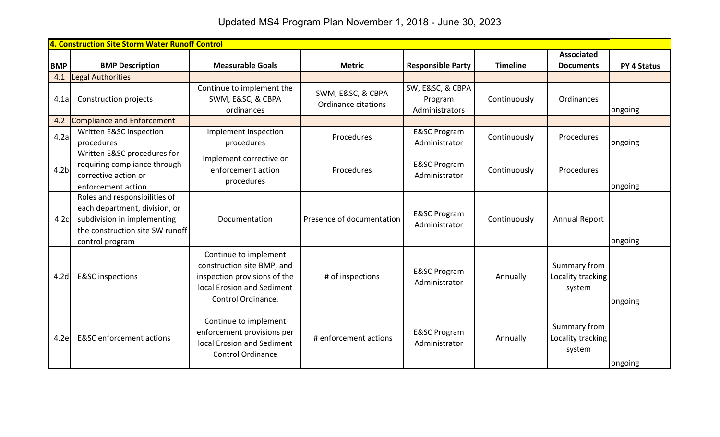Updated MS4 Program Plan November 1, 2018 - June 30, 2023

|                  | 4. Construction Site Storm Water Runoff Control                                                                                                     |                                                                                                                                         |                                          |                                               |                 |                                             |                    |
|------------------|-----------------------------------------------------------------------------------------------------------------------------------------------------|-----------------------------------------------------------------------------------------------------------------------------------------|------------------------------------------|-----------------------------------------------|-----------------|---------------------------------------------|--------------------|
|                  |                                                                                                                                                     |                                                                                                                                         |                                          |                                               |                 | <b>Associated</b>                           |                    |
| <b>BMP</b>       | <b>BMP Description</b>                                                                                                                              | <b>Measurable Goals</b>                                                                                                                 | <b>Metric</b>                            | <b>Responsible Party</b>                      | <b>Timeline</b> | <b>Documents</b>                            | <b>PY 4 Status</b> |
| 4.1              | Legal Authorities                                                                                                                                   |                                                                                                                                         |                                          |                                               |                 |                                             |                    |
| 4.1a             | Construction projects                                                                                                                               | Continue to implement the<br>SWM, E&SC, & CBPA<br>ordinances                                                                            | SWM, E&SC, & CBPA<br>Ordinance citations | SW, E&SC, & CBPA<br>Program<br>Administrators | Continuously    | Ordinances                                  | ongoing            |
| 4.2              | Compliance and Enforcement                                                                                                                          |                                                                                                                                         |                                          |                                               |                 |                                             |                    |
| 4.2a             | Written E&SC inspection<br>procedures                                                                                                               | Implement inspection<br>procedures                                                                                                      | Procedures                               | <b>E&amp;SC Program</b><br>Administrator      | Continuously    | Procedures                                  | ongoing            |
| 4.2 <sub>b</sub> | Written E&SC procedures for<br>requiring compliance through<br>corrective action or<br>enforcement action                                           | Implement corrective or<br>enforcement action<br>procedures                                                                             | Procedures                               | <b>E&amp;SC Program</b><br>Administrator      | Continuously    | Procedures                                  | ongoing            |
| 4.2c             | Roles and responsibilities of<br>each department, division, or<br>subdivision in implementing<br>the construction site SW runoff<br>control program | Documentation                                                                                                                           | Presence of documentation                | <b>E&amp;SC Program</b><br>Administrator      | Continuously    | <b>Annual Report</b>                        | ongoing            |
| 4.2 <sub>d</sub> | <b>E&amp;SC</b> inspections                                                                                                                         | Continue to implement<br>construction site BMP, and<br>inspection provisions of the<br>local Erosion and Sediment<br>Control Ordinance. | # of inspections                         | <b>E&amp;SC Program</b><br>Administrator      | Annually        | Summary from<br>Locality tracking<br>system | ongoing            |
| 4.2e             | <b>E&amp;SC</b> enforcement actions                                                                                                                 | Continue to implement<br>enforcement provisions per<br>local Erosion and Sediment<br><b>Control Ordinance</b>                           | # enforcement actions                    | <b>E&amp;SC Program</b><br>Administrator      | Annually        | Summary from<br>Locality tracking<br>system | ongoing            |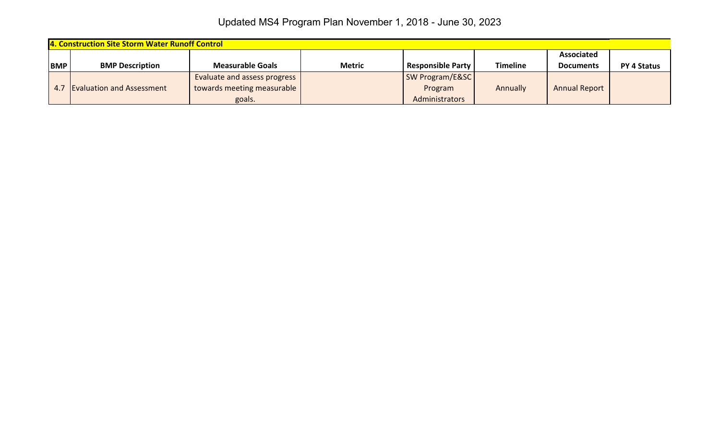| 4. Construction Site Storm Water Runoff Control |                                  |                              |               |                            |                 |                      |                    |
|-------------------------------------------------|----------------------------------|------------------------------|---------------|----------------------------|-----------------|----------------------|--------------------|
|                                                 |                                  |                              |               |                            |                 | <b>Associated</b>    |                    |
| <b>BMP</b>                                      | <b>BMP Description</b>           | <b>Measurable Goals</b>      | <b>Metric</b> | <b>Responsible Party</b>   | <b>Timeline</b> | <b>Documents</b>     | <b>PY 4 Status</b> |
|                                                 |                                  | Evaluate and assess progress |               | <b>SW Program/E&amp;SC</b> |                 |                      |                    |
| 4.7                                             | <b>Evaluation and Assessment</b> | towards meeting measurable   |               | Program                    | Annually        | <b>Annual Report</b> |                    |
|                                                 |                                  | goals.                       |               | Administrators             |                 |                      |                    |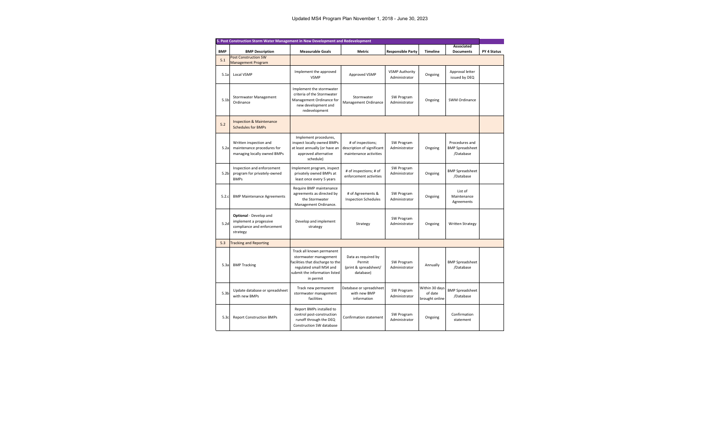| 5. Post Construction Storm Water Management in New Development and Redevelopment |                                                                                                   |                                                                                                                                                                 |                                                                           |                                        |                                             |                                                       |                    |  |  |
|----------------------------------------------------------------------------------|---------------------------------------------------------------------------------------------------|-----------------------------------------------------------------------------------------------------------------------------------------------------------------|---------------------------------------------------------------------------|----------------------------------------|---------------------------------------------|-------------------------------------------------------|--------------------|--|--|
|                                                                                  |                                                                                                   |                                                                                                                                                                 |                                                                           |                                        |                                             | <b>Associated</b>                                     |                    |  |  |
| <b>BMP</b>                                                                       | <b>BMP Description</b>                                                                            | <b>Measurable Goals</b>                                                                                                                                         | <b>Metric</b>                                                             | <b>Responsible Party</b>               | <b>Timeline</b>                             | <b>Documents</b>                                      | <b>PY 4 Status</b> |  |  |
| 5.1                                                                              | <b>Post Construction SW</b><br>Management Program                                                 |                                                                                                                                                                 |                                                                           |                                        |                                             |                                                       |                    |  |  |
| 5.1a                                                                             | <b>Local VSMP</b>                                                                                 | Implement the approved<br><b>VSMP</b>                                                                                                                           | Approved VSMP                                                             | <b>VSMP Authority</b><br>Administrator | Ongoing                                     | Approval letter<br>issued by DEQ                      |                    |  |  |
| 5.1 <sub>b</sub>                                                                 | <b>Stormwater Management</b><br>Ordinance                                                         | Implement the stormwater<br>criteria of the Stormwater<br>Management Ordinance for<br>new development and<br>redevelopment                                      | Stormwater<br>Management Ordinance                                        | SW Program<br>Administrator            | Ongoing                                     | <b>SWM Ordinance</b>                                  |                    |  |  |
| 5.2                                                                              | <b>Inspection &amp; Maintenance</b><br><b>Schedules for BMPs</b>                                  |                                                                                                                                                                 |                                                                           |                                        |                                             |                                                       |                    |  |  |
| 5.2a                                                                             | Written inspection and<br>maintenance procedures for<br>managing locally owned BMPs               | Implement procedures,<br>inspect locally owned BMPs<br>at least annually (or have an<br>approved alternative<br>schedule)                                       | # of inspections;<br>description of significant<br>maintenance activities | SW Program<br>Administrator            | Ongoing                                     | Procedures and<br><b>BMP Spreadsheet</b><br>/Database |                    |  |  |
| 5.2 <sub>b</sub>                                                                 | Inspection and enforcement<br>program for privately-owned<br><b>BMPs</b>                          | Implement program, inspect<br>privately owned BMPs at<br>least once every 5 years                                                                               | # of inspections; # of<br>enforcement activities                          | SW Program<br>Administrator            | Ongoing                                     | <b>BMP Spreadsheet</b><br>/Database                   |                    |  |  |
| 5.2.c                                                                            | <b>BMP Maintenance Agreements</b>                                                                 | Require BMP maintenance<br>agreements as directed by<br>the Stormwater<br>Management Ordinance.                                                                 | # of Agreements &<br><b>Inspection Schedules</b>                          | SW Program<br>Administrator            | Ongoing                                     | List of<br>Maintenance<br>Agreements                  |                    |  |  |
| 5.2d                                                                             | <b>Optional</b> - Develop and<br>implement a progessive<br>compliance and enforcement<br>strategy | Develop and implement<br>strategy                                                                                                                               | Strategy                                                                  | SW Program<br>Administrator            | Ongoing                                     | <b>Written Strategy</b>                               |                    |  |  |
| 5.3                                                                              | <b>Tracking and Reporting</b>                                                                     |                                                                                                                                                                 |                                                                           |                                        |                                             |                                                       |                    |  |  |
| 5.3a                                                                             | <b>BMP Tracking</b>                                                                               | Track all known permanent<br>stormwater management<br>facilities that discharge to the<br>regulated small MS4 and<br>submit the information listed<br>in permit | Data as required by<br>Permit<br>(print & spreadsheet/<br>database)       | SW Program<br>Administrator            | Annually                                    | <b>BMP Spreadsheet</b><br>/Database                   |                    |  |  |
| 5.3 <sub>b</sub>                                                                 | Update database or spreadsheet<br>with new BMPs                                                   | Track new permanent<br>stormwater management<br>facilities                                                                                                      | Database or spreadsheet<br>with new BMP<br>information                    | SW Program<br>Administrator            | Within 30 days<br>of date<br>brought online | <b>BMP Spreadsheet</b><br>/Database                   |                    |  |  |
| 5.3c                                                                             | <b>Report Construction BMPs</b>                                                                   | Report BMPs installed to<br>control post-construction<br>runoff through the DEQ<br><b>Construction SW database</b>                                              | Confirmation statement                                                    | SW Program<br>Administrator            | Ongoing                                     | Confirmation<br>statement                             |                    |  |  |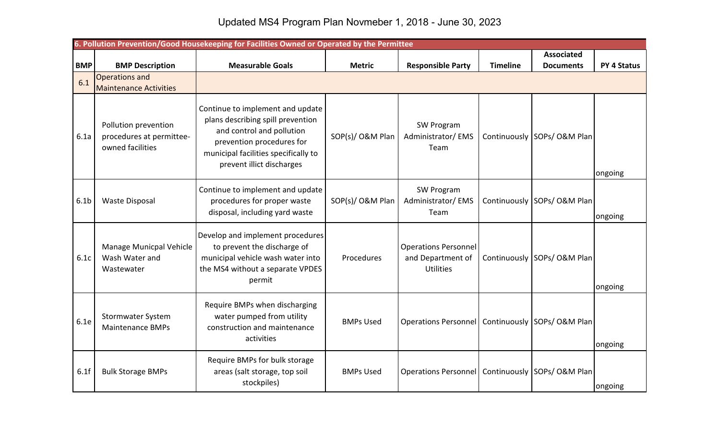## Updated MS4 Program Plan Novmeber 1, 2018 - June 30, 2023

|                  | 6. Pollution Prevention/Good Housekeeping for Facilities Owned or Operated by the Permittee |                                                                                                                                                                                                      |                  |                                                                      |                 |                             |                    |  |  |  |
|------------------|---------------------------------------------------------------------------------------------|------------------------------------------------------------------------------------------------------------------------------------------------------------------------------------------------------|------------------|----------------------------------------------------------------------|-----------------|-----------------------------|--------------------|--|--|--|
|                  |                                                                                             |                                                                                                                                                                                                      |                  |                                                                      |                 | <b>Associated</b>           |                    |  |  |  |
| <b>BMP</b>       | <b>BMP Description</b>                                                                      | <b>Measurable Goals</b>                                                                                                                                                                              | <b>Metric</b>    | <b>Responsible Party</b>                                             | <b>Timeline</b> | <b>Documents</b>            | <b>PY 4 Status</b> |  |  |  |
| 6.1              | Operations and<br><b>Maintenance Activities</b>                                             |                                                                                                                                                                                                      |                  |                                                                      |                 |                             |                    |  |  |  |
| 6.1a             | Pollution prevention<br>procedures at permittee-<br>owned facilities                        | Continue to implement and update<br>plans describing spill prevention<br>and control and pollution<br>prevention procedures for<br>municipal facilities specifically to<br>prevent illict discharges | SOP(s)/O&M Plan  | SW Program<br>Administrator/EMS<br>Team                              |                 | Continuously SOPs/ O&M Plan | ongoing            |  |  |  |
| 6.1 <sub>b</sub> | <b>Waste Disposal</b>                                                                       | Continue to implement and update<br>procedures for proper waste<br>disposal, including yard waste                                                                                                    | SOP(s)/O&M Plan  | SW Program<br>Administrator/EMS<br>Team                              |                 | Continuously SOPs/ O&M Plan | ongoing            |  |  |  |
| 6.1c             | Manage Municpal Vehicle<br>Wash Water and<br>Wastewater                                     | Develop and implement procedures<br>to prevent the discharge of<br>municipal vehicle wash water into<br>the MS4 without a separate VPDES<br>permit                                                   | Procedures       | <b>Operations Personnel</b><br>and Department of<br><b>Utilities</b> |                 | Continuously SOPs/ O&M Plan | ongoing            |  |  |  |
| 6.1e             | <b>Stormwater System</b><br><b>Maintenance BMPs</b>                                         | Require BMPs when discharging<br>water pumped from utility<br>construction and maintenance<br>activities                                                                                             | <b>BMPs Used</b> | Operations Personnel                                                 |                 | Continuously SOPs/ O&M Plan | ongoing            |  |  |  |
| 6.1f             | <b>Bulk Storage BMPs</b>                                                                    | Require BMPs for bulk storage<br>areas (salt storage, top soil<br>stockpiles)                                                                                                                        | <b>BMPs Used</b> | Operations Personnel   Continuously   SOPs/ O&M Plan                 |                 |                             | ongoing            |  |  |  |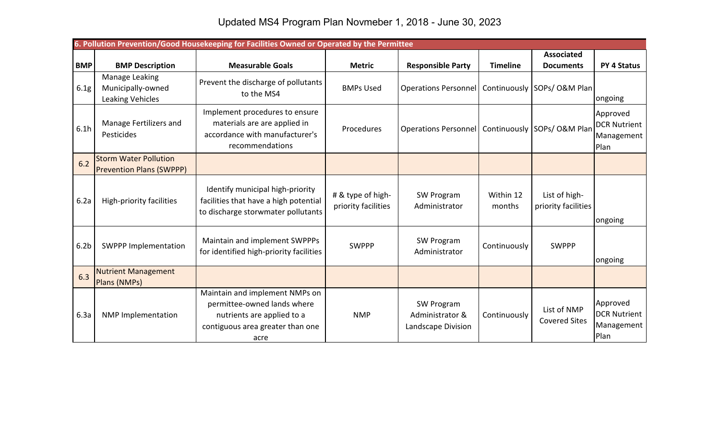|                  | 6. Pollution Prevention/Good Housekeeping for Facilities Owned or Operated by the Permittee |                                                                                                                                         |                                          |                                                      |                     |                                      |                                                       |  |  |
|------------------|---------------------------------------------------------------------------------------------|-----------------------------------------------------------------------------------------------------------------------------------------|------------------------------------------|------------------------------------------------------|---------------------|--------------------------------------|-------------------------------------------------------|--|--|
|                  |                                                                                             |                                                                                                                                         |                                          |                                                      |                     | <b>Associated</b>                    |                                                       |  |  |
| <b>BMP</b>       | <b>BMP Description</b>                                                                      | <b>Measurable Goals</b>                                                                                                                 | <b>Metric</b>                            | <b>Responsible Party</b>                             | <b>Timeline</b>     | <b>Documents</b>                     | <b>PY 4 Status</b>                                    |  |  |
| 6.1g             | Manage Leaking<br>Municipally-owned<br>Leaking Vehicles                                     | Prevent the discharge of pollutants<br>to the MS4                                                                                       | <b>BMPs Used</b>                         | Operations Personnel   Continuously   SOPs/ O&M Plan |                     |                                      | ongoing                                               |  |  |
| 6.1h             | Manage Fertilizers and<br>Pesticides                                                        | Implement procedures to ensure<br>materials are are applied in<br>accordance with manufacturer's<br>recommendations                     | Procedures                               | Operations Personnel   Continuously   SOPs/ O&M Plan |                     |                                      | Approved<br><b>DCR Nutrient</b><br>Management<br>Plan |  |  |
| 6.2              | <b>Storm Water Pollution</b><br><b>Prevention Plans (SWPPP)</b>                             |                                                                                                                                         |                                          |                                                      |                     |                                      |                                                       |  |  |
| 6.2a             | High-priority facilities                                                                    | Identify municipal high-priority<br>facilities that have a high potential<br>to discharge storwmater pollutants                         | # & type of high-<br>priority facilities | SW Program<br>Administrator                          | Within 12<br>months | List of high-<br>priority facilities | ongoing                                               |  |  |
| 6.2 <sub>b</sub> | <b>SWPPP Implementation</b>                                                                 | Maintain and implement SWPPPs<br>for identified high-priority facilities                                                                | <b>SWPPP</b>                             | SW Program<br>Administrator                          | Continuously        | <b>SWPPP</b>                         | ongoing                                               |  |  |
| 6.3              | <b>Nutrient Management</b><br>Plans (NMPs)                                                  |                                                                                                                                         |                                          |                                                      |                     |                                      |                                                       |  |  |
| 6.3a             | <b>NMP Implementation</b>                                                                   | Maintain and implement NMPs on<br>permittee-owned lands where<br>nutrients are applied to a<br>contiguous area greater than one<br>acre | <b>NMP</b>                               | SW Program<br>Administrator &<br>Landscape Division  | Continuously        | List of NMP<br><b>Covered Sites</b>  | Approved<br><b>DCR Nutrient</b><br>Management<br>Plan |  |  |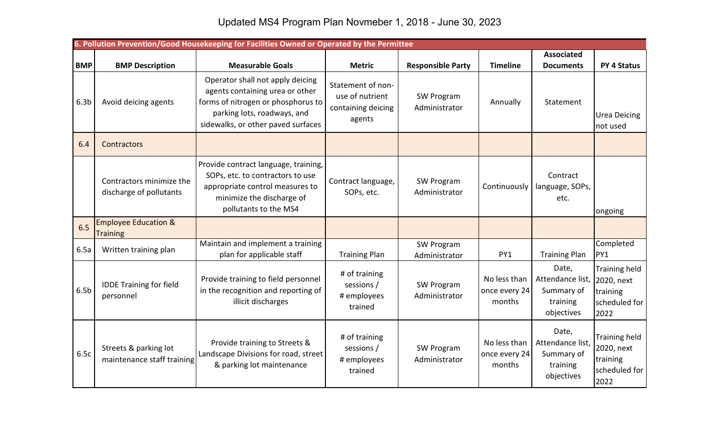|                  | 6. Pollution Prevention/Good Housekeeping for Facilities Owned or Operated by the Permittee |                                                                                                                                                                                |                                                                      |                             |                                         |                                                                   |                                                                         |  |  |
|------------------|---------------------------------------------------------------------------------------------|--------------------------------------------------------------------------------------------------------------------------------------------------------------------------------|----------------------------------------------------------------------|-----------------------------|-----------------------------------------|-------------------------------------------------------------------|-------------------------------------------------------------------------|--|--|
|                  |                                                                                             |                                                                                                                                                                                |                                                                      |                             |                                         | <b>Associated</b>                                                 |                                                                         |  |  |
| <b>BMP</b>       | <b>BMP Description</b>                                                                      | <b>Measurable Goals</b>                                                                                                                                                        | <b>Metric</b>                                                        | <b>Responsible Party</b>    | <b>Timeline</b>                         | <b>Documents</b>                                                  | <b>PY 4 Status</b>                                                      |  |  |
| 6.3 <sub>b</sub> | Avoid deicing agents                                                                        | Operator shall not apply deicing<br>agents containing urea or other<br>forms of nitrogen or phosphorus to<br>parking lots, roadways, and<br>sidewalks, or other paved surfaces | Statement of non-<br>use of nutrient<br>containing deicing<br>agents | SW Program<br>Administrator | Annually                                | Statement                                                         | <b>Urea Deicing</b><br>not used                                         |  |  |
| 6.4              | Contractors                                                                                 |                                                                                                                                                                                |                                                                      |                             |                                         |                                                                   |                                                                         |  |  |
|                  | Contractors minimize the<br>discharge of pollutants                                         | Provide contract language, training,<br>SOPs, etc. to contractors to use<br>appropriate control measures to<br>minimize the discharge of<br>pollutants to the MS4              | Contract language,<br>SOPs, etc.                                     | SW Program<br>Administrator | Continuously                            | Contract<br>language, SOPs,<br>etc.                               | ongoing                                                                 |  |  |
| 6.5              | <b>Employee Education &amp;</b><br><b>Training</b>                                          |                                                                                                                                                                                |                                                                      |                             |                                         |                                                                   |                                                                         |  |  |
| 6.5a             | Written training plan                                                                       | Maintain and implement a training<br>plan for applicable staff                                                                                                                 | <b>Training Plan</b>                                                 | SW Program<br>Administrator | PY1                                     | <b>Training Plan</b>                                              | Completed<br>PY1                                                        |  |  |
| 6.5 <sub>b</sub> | <b>IDDE Training for field</b><br>personnel                                                 | Provide training to field personnel<br>in the recognition and reporting of<br>illicit discharges                                                                               | # of training<br>sessions /<br># employees<br>trained                | SW Program<br>Administrator | No less than<br>once every 24<br>months | Date,<br>Attendance list,<br>Summary of<br>training<br>objectives | <b>Training held</b><br>2020, next<br>training<br>scheduled for<br>2022 |  |  |
| 6.5c             | Streets & parking lot<br>maintenance staff training                                         | Provide training to Streets &<br>Landscape Divisions for road, street<br>& parking lot maintenance                                                                             | # of training<br>sessions /<br># employees<br>trained                | SW Program<br>Administrator | No less than<br>once every 24<br>months | Date,<br>Attendance list,<br>Summary of<br>training<br>objectives | Training held<br>2020, next<br>training<br>scheduled for<br>2022        |  |  |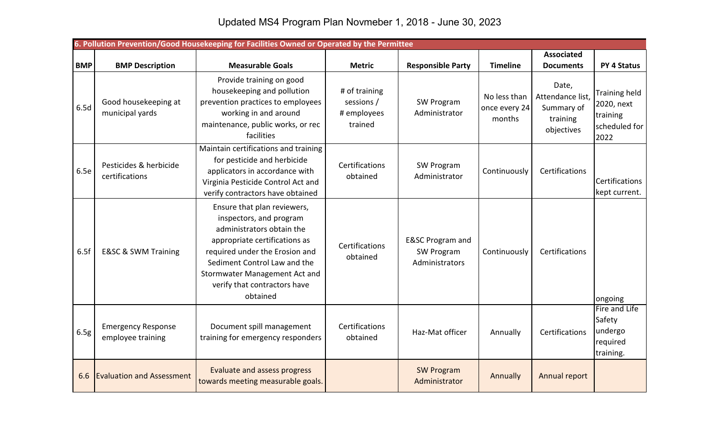|            | 6. Pollution Prevention/Good Housekeeping for Facilities Owned or Operated by the Permittee |                                                                                                                                                                                                                                                                     |                                                       |                                                             |                                         |                                                                  |                                                                         |  |  |
|------------|---------------------------------------------------------------------------------------------|---------------------------------------------------------------------------------------------------------------------------------------------------------------------------------------------------------------------------------------------------------------------|-------------------------------------------------------|-------------------------------------------------------------|-----------------------------------------|------------------------------------------------------------------|-------------------------------------------------------------------------|--|--|
|            |                                                                                             |                                                                                                                                                                                                                                                                     |                                                       |                                                             |                                         | <b>Associated</b>                                                |                                                                         |  |  |
| <b>BMP</b> | <b>BMP Description</b>                                                                      | <b>Measurable Goals</b>                                                                                                                                                                                                                                             | <b>Metric</b>                                         | <b>Responsible Party</b>                                    | <b>Timeline</b>                         | <b>Documents</b>                                                 | <b>PY 4 Status</b>                                                      |  |  |
| 6.5d       | Good housekeeping at<br>municipal yards                                                     | Provide training on good<br>housekeeping and pollution<br>prevention practices to employees<br>working in and around<br>maintenance, public works, or rec<br>facilities                                                                                             | # of training<br>sessions /<br># employees<br>trained | SW Program<br>Administrator                                 | No less than<br>once every 24<br>months | Date,<br>Attendance list<br>Summary of<br>training<br>objectives | <b>Training held</b><br>2020, next<br>training<br>scheduled for<br>2022 |  |  |
| 6.5e       | Pesticides & herbicide<br>certifications                                                    | Maintain certifications and training<br>for pesticide and herbicide<br>applicators in accordance with<br>Virginia Pesticide Control Act and<br>verify contractors have obtained                                                                                     | Certifications<br>obtained                            | SW Program<br>Administrator                                 | Continuously                            | Certifications                                                   | Certifications<br>kept current.                                         |  |  |
| 6.5f       | <b>E&amp;SC &amp; SWM Training</b>                                                          | Ensure that plan reviewers,<br>inspectors, and program<br>administrators obtain the<br>appropriate certifications as<br>required under the Erosion and<br>Sediment Control Law and the<br>Stormwater Management Act and<br>verify that contractors have<br>obtained | Certifications<br>obtained                            | <b>E&amp;SC Program and</b><br>SW Program<br>Administrators | Continuously                            | Certifications                                                   | ongoing                                                                 |  |  |
| 6.5g       | <b>Emergency Response</b><br>employee training                                              | Document spill management<br>training for emergency responders                                                                                                                                                                                                      | Certifications<br>obtained                            | Haz-Mat officer                                             | Annually                                | Certifications                                                   | Fire and Life<br>Safety<br>undergo<br>required<br>training.             |  |  |
| 6.6        | <b>Evaluation and Assessment</b>                                                            | Evaluate and assess progress<br>towards meeting measurable goals.                                                                                                                                                                                                   |                                                       | <b>SW Program</b><br>Administrator                          | Annually                                | Annual report                                                    |                                                                         |  |  |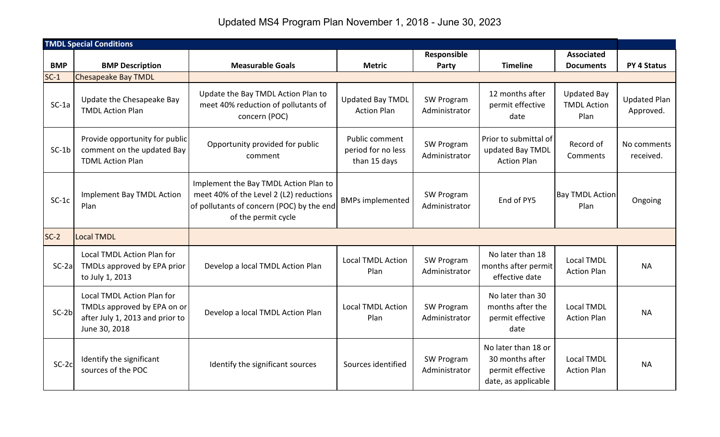Updated MS4 Program Plan November 1, 2018 - June 30, 2023

| <b>TMDL Special Conditions</b> |                                                                                                               |                                                                                                                                                      |                                                      |                             |                                                                                   |                                                  |                                  |
|--------------------------------|---------------------------------------------------------------------------------------------------------------|------------------------------------------------------------------------------------------------------------------------------------------------------|------------------------------------------------------|-----------------------------|-----------------------------------------------------------------------------------|--------------------------------------------------|----------------------------------|
|                                |                                                                                                               |                                                                                                                                                      |                                                      | Responsible                 |                                                                                   | <b>Associated</b>                                |                                  |
| <b>BMP</b>                     | <b>BMP Description</b>                                                                                        | <b>Measurable Goals</b>                                                                                                                              | <b>Metric</b>                                        | Party                       | <b>Timeline</b>                                                                   | <b>Documents</b>                                 | <b>PY 4 Status</b>               |
| $SC-1$                         | <b>Chesapeake Bay TMDL</b>                                                                                    |                                                                                                                                                      |                                                      |                             |                                                                                   |                                                  |                                  |
| $SC-1a$                        | Update the Chesapeake Bay<br><b>TMDL Action Plan</b>                                                          | Update the Bay TMDL Action Plan to<br>meet 40% reduction of pollutants of<br>concern (POC)                                                           | <b>Updated Bay TMDL</b><br><b>Action Plan</b>        | SW Program<br>Administrator | 12 months after<br>permit effective<br>date                                       | <b>Updated Bay</b><br><b>TMDL Action</b><br>Plan | <b>Updated Plan</b><br>Approved. |
| $SC-1b$                        | Provide opportunity for public<br>comment on the updated Bay<br><b>TDML Action Plan</b>                       | Opportunity provided for public<br>comment                                                                                                           | Public comment<br>period for no less<br>than 15 days | SW Program<br>Administrator | Prior to submittal of<br>updated Bay TMDL<br><b>Action Plan</b>                   | Record of<br>Comments                            | No comments<br>received.         |
| $SC-1c$                        | <b>Implement Bay TMDL Action</b><br>Plan                                                                      | Implement the Bay TMDL Action Plan to<br>meet 40% of the Level 2 (L2) reductions<br>of pollutants of concern (POC) by the end<br>of the permit cycle | <b>BMPs implemented</b>                              | SW Program<br>Administrator | End of PY5                                                                        | <b>Bay TMDL Action</b><br>Plan                   | Ongoing                          |
| $SC-2$                         | <b>Local TMDL</b>                                                                                             |                                                                                                                                                      |                                                      |                             |                                                                                   |                                                  |                                  |
| $SC-2a$                        | Local TMDL Action Plan for<br>TMDLs approved by EPA prior<br>to July 1, 2013                                  | Develop a local TMDL Action Plan                                                                                                                     | <b>Local TMDL Action</b><br>Plan                     | SW Program<br>Administrator | No later than 18<br>months after permit<br>effective date                         | Local TMDL<br><b>Action Plan</b>                 | <b>NA</b>                        |
| $SC-2b$                        | Local TMDL Action Plan for<br>TMDLs approved by EPA on or<br>after July 1, 2013 and prior to<br>June 30, 2018 | Develop a local TMDL Action Plan                                                                                                                     | <b>Local TMDL Action</b><br>Plan                     | SW Program<br>Administrator | No later than 30<br>months after the<br>permit effective<br>date                  | <b>Local TMDL</b><br><b>Action Plan</b>          | <b>NA</b>                        |
| $SC-2c$                        | Identify the significant<br>sources of the POC                                                                | Identify the significant sources                                                                                                                     | Sources identified                                   | SW Program<br>Administrator | No later than 18 or<br>30 months after<br>permit effective<br>date, as applicable | <b>Local TMDL</b><br><b>Action Plan</b>          | <b>NA</b>                        |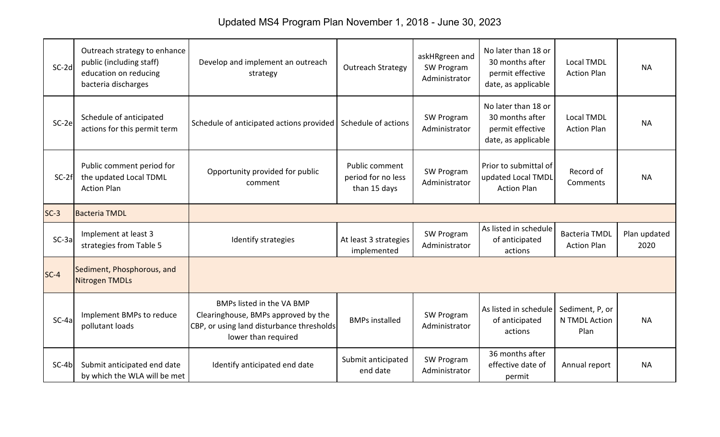Updated MS4 Program Plan November 1, 2018 - June 30, 2023

| $SC-2d$ | Outreach strategy to enhance<br>public (including staff)<br>education on reducing<br>bacteria discharges | Develop and implement an outreach<br>strategy                                                                                        | <b>Outreach Strategy</b>                             | askHRgreen and<br>SW Program<br>Administrator | No later than 18 or<br>30 months after<br>permit effective<br>date, as applicable | <b>Local TMDL</b><br><b>Action Plan</b>    | <b>NA</b>            |
|---------|----------------------------------------------------------------------------------------------------------|--------------------------------------------------------------------------------------------------------------------------------------|------------------------------------------------------|-----------------------------------------------|-----------------------------------------------------------------------------------|--------------------------------------------|----------------------|
| SC-2e   | Schedule of anticipated<br>actions for this permit term                                                  | Schedule of anticipated actions provided                                                                                             | Schedule of actions                                  | SW Program<br>Administrator                   | No later than 18 or<br>30 months after<br>permit effective<br>date, as applicable | <b>Local TMDL</b><br><b>Action Plan</b>    | <b>NA</b>            |
| $SC-2f$ | Public comment period for<br>the updated Local TDML<br><b>Action Plan</b>                                | Opportunity provided for public<br>comment                                                                                           | Public comment<br>period for no less<br>than 15 days | SW Program<br>Administrator                   | Prior to submittal of<br>updated Local TMDL<br><b>Action Plan</b>                 | Record of<br>Comments                      | <b>NA</b>            |
| $SC-3$  | <b>Bacteria TMDL</b>                                                                                     |                                                                                                                                      |                                                      |                                               |                                                                                   |                                            |                      |
| $SC-3a$ | Implement at least 3<br>strategies from Table 5                                                          | Identify strategies                                                                                                                  | At least 3 strategies<br>implemented                 | SW Program<br>Administrator                   | As listed in schedule<br>of anticipated<br>actions                                | <b>Bacteria TMDL</b><br><b>Action Plan</b> | Plan updated<br>2020 |
| $SC-4$  | Sediment, Phosphorous, and<br>Nitrogen TMDLs                                                             |                                                                                                                                      |                                                      |                                               |                                                                                   |                                            |                      |
| $SC-4a$ | Implement BMPs to reduce<br>pollutant loads                                                              | BMPs listed in the VA BMP<br>Clearinghouse, BMPs approved by the<br>CBP, or using land disturbance thresholds<br>lower than required | <b>BMPs installed</b>                                | SW Program<br>Administrator                   | As listed in schedule<br>of anticipated<br>actions                                | Sediment, P, or<br>N TMDL Action<br>Plan   | <b>NA</b>            |
| $SC-4b$ | Submit anticipated end date                                                                              | Identify anticipated end date                                                                                                        | Submit anticipated                                   | SW Program                                    | 36 months after<br>effective date of                                              | Annual report                              | <b>NA</b>            |